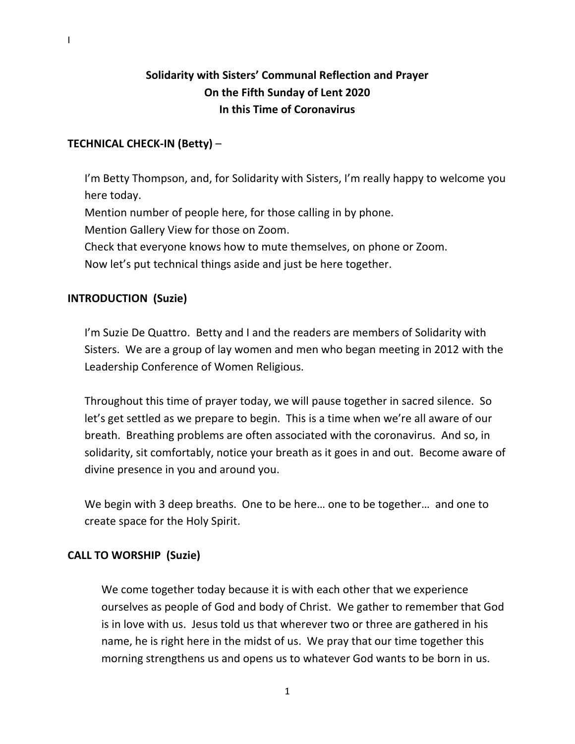# **Solidarity with Sisters' Communal Reflection and Prayer On the Fifth Sunday of Lent 2020 In this Time of Coronavirus**

# **TECHNICAL CHECK-IN (Betty)** –

I'm Betty Thompson, and, for Solidarity with Sisters, I'm really happy to welcome you here today.

Mention number of people here, for those calling in by phone.

Mention Gallery View for those on Zoom.

Check that everyone knows how to mute themselves, on phone or Zoom.

Now let's put technical things aside and just be here together.

# **INTRODUCTION (Suzie)**

I'm Suzie De Quattro. Betty and I and the readers are members of Solidarity with Sisters. We are a group of lay women and men who began meeting in 2012 with the Leadership Conference of Women Religious.

Throughout this time of prayer today, we will pause together in sacred silence. So let's get settled as we prepare to begin. This is a time when we're all aware of our breath. Breathing problems are often associated with the coronavirus. And so, in solidarity, sit comfortably, notice your breath as it goes in and out. Become aware of divine presence in you and around you.

We begin with 3 deep breaths. One to be here… one to be together… and one to create space for the Holy Spirit.

## **CALL TO WORSHIP (Suzie)**

We come together today because it is with each other that we experience ourselves as people of God and body of Christ. We gather to remember that God is in love with us. Jesus told us that wherever two or three are gathered in his name, he is right here in the midst of us. We pray that our time together this morning strengthens us and opens us to whatever God wants to be born in us.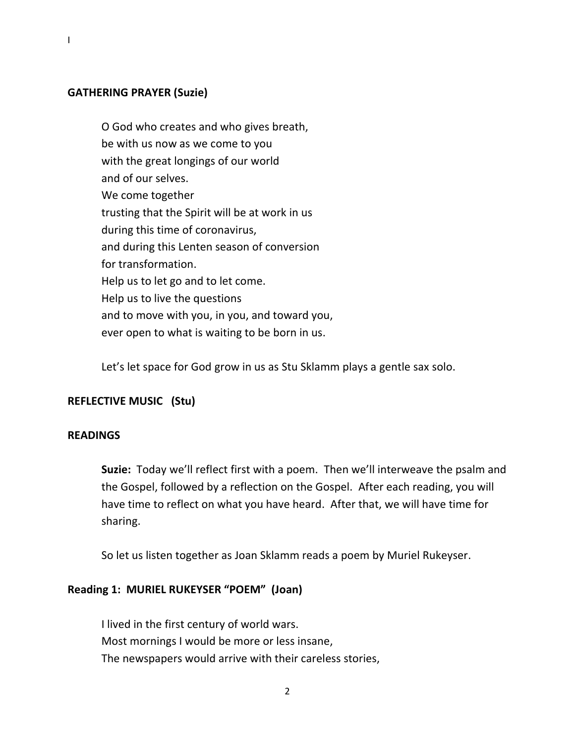### **GATHERING PRAYER (Suzie)**

O God who creates and who gives breath, be with us now as we come to you with the great longings of our world and of our selves. We come together trusting that the Spirit will be at work in us during this time of coronavirus, and during this Lenten season of conversion for transformation. Help us to let go and to let come. Help us to live the questions and to move with you, in you, and toward you, ever open to what is waiting to be born in us.

Let's let space for God grow in us as Stu Sklamm plays a gentle sax solo.

## **REFLECTIVE MUSIC (Stu)**

#### **READINGS**

**Suzie:** Today we'll reflect first with a poem. Then we'll interweave the psalm and the Gospel, followed by a reflection on the Gospel. After each reading, you will have time to reflect on what you have heard. After that, we will have time for sharing.

So let us listen together as Joan Sklamm reads a poem by Muriel Rukeyser.

#### **Reading 1: MURIEL RUKEYSER "POEM" (Joan)**

I lived in the first century of world wars. Most mornings I would be more or less insane, The newspapers would arrive with their careless stories,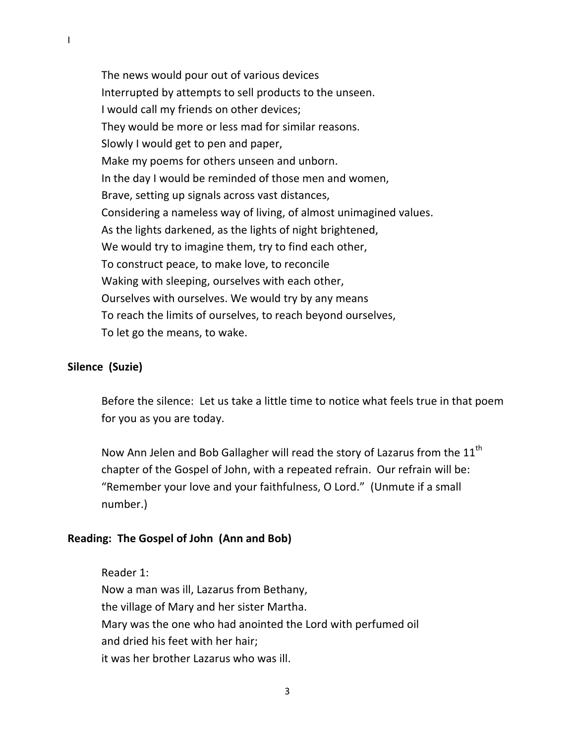The news would pour out of various devices Interrupted by attempts to sell products to the unseen. I would call my friends on other devices; They would be more or less mad for similar reasons. Slowly I would get to pen and paper, Make my poems for others unseen and unborn. In the day I would be reminded of those men and women, Brave, setting up signals across vast distances, Considering a nameless way of living, of almost unimagined values. As the lights darkened, as the lights of night brightened, We would try to imagine them, try to find each other, To construct peace, to make love, to reconcile Waking with sleeping, ourselves with each other, Ourselves with ourselves. We would try by any means To reach the limits of ourselves, to reach beyond ourselves, To let go the means, to wake.

#### **Silence (Suzie)**

Before the silence: Let us take a little time to notice what feels true in that poem for you as you are today.

Now Ann Jelen and Bob Gallagher will read the story of Lazarus from the  $11<sup>th</sup>$ chapter of the Gospel of John, with a repeated refrain. Our refrain will be: "Remember your love and your faithfulness, O Lord." (Unmute if a small number.)

#### **Reading: The Gospel of John (Ann and Bob)**

Reader 1: Now a man was ill, Lazarus from Bethany, the village of Mary and her sister Martha. Mary was the one who had anointed the Lord with perfumed oil and dried his feet with her hair; it was her brother Lazarus who was ill.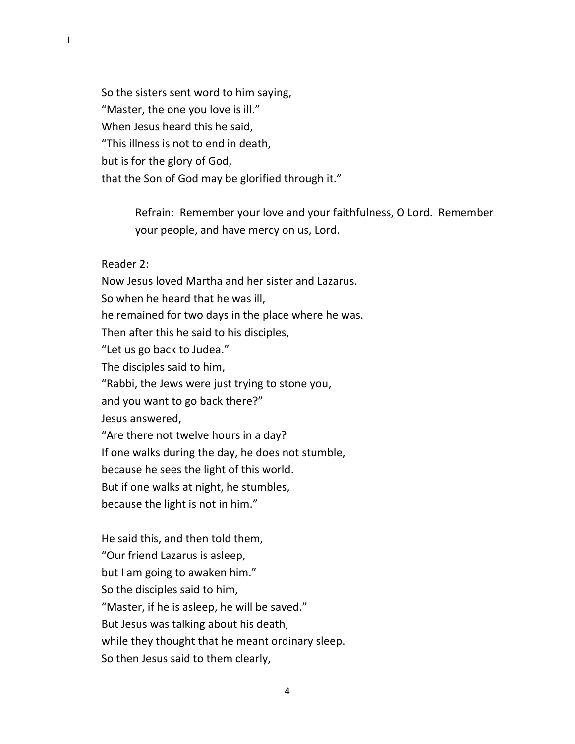So the sisters sent word to him saying, "Master, the one you love is ill." When Jesus heard this he said, "This illness is not to end in death, but is for the glory of God, that the Son of God may be glorified through it."

> Refrain: Remember your love and your faithfulness, O Lord. Remember your people, and have mercy on us, Lord.

#### Reader 2:

Now Jesus loved Martha and her sister and Lazarus. So when he heard that he was ill, he remained for two days in the place where he was. Then after this he said to his disciples, "Let us go back to Judea." The disciples said to him, "Rabbi, the Jews were just trying to stone you, and you want to go back there?" Jesus answered, "Are there not twelve hours in a day? If one walks during the day, he does not stumble, because he sees the light of this world. But if one walks at night, he stumbles, because the light is not in him."

He said this, and then told them, "Our friend Lazarus is asleep, but I am going to awaken him." So the disciples said to him, "Master, if he is asleep, he will be saved." But Jesus was talking about his death, while they thought that he meant ordinary sleep. So then Jesus said to them clearly,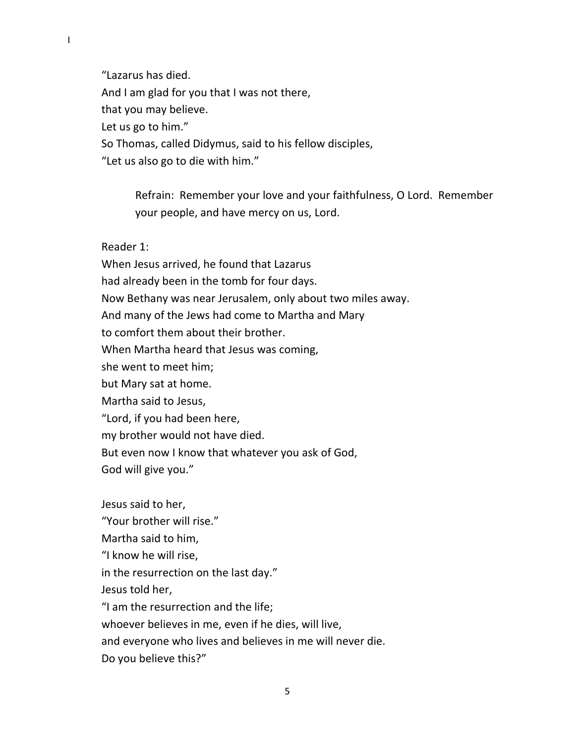"Lazarus has died. And I am glad for you that I was not there, that you may believe. Let us go to him." So Thomas, called Didymus, said to his fellow disciples,

"Let us also go to die with him."

Refrain: Remember your love and your faithfulness, O Lord. Remember your people, and have mercy on us, Lord.

Reader 1:

"Your brother will rise."

When Jesus arrived, he found that Lazarus had already been in the tomb for four days. Now Bethany was near Jerusalem, only about two miles away. And many of the Jews had come to Martha and Mary to comfort them about their brother. When Martha heard that Jesus was coming, she went to meet him; but Mary sat at home. Martha said to Jesus, "Lord, if you had been here, my brother would not have died. But even now I know that whatever you ask of God, God will give you." Jesus said to her,

Martha said to him, "I know he will rise, in the resurrection on the last day." Jesus told her, "I am the resurrection and the life; whoever believes in me, even if he dies, will live, and everyone who lives and believes in me will never die. Do you believe this?"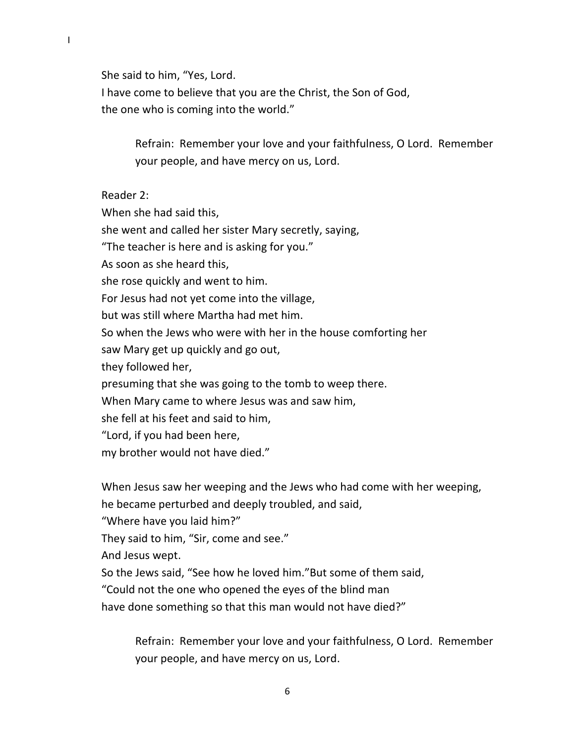She said to him, "Yes, Lord. I have come to believe that you are the Christ, the Son of God, the one who is coming into the world."

> Refrain: Remember your love and your faithfulness, O Lord. Remember your people, and have mercy on us, Lord.

Reader 2:

When she had said this,

she went and called her sister Mary secretly, saying,

"The teacher is here and is asking for you."

As soon as she heard this,

she rose quickly and went to him.

For Jesus had not yet come into the village,

but was still where Martha had met him.

So when the Jews who were with her in the house comforting her

saw Mary get up quickly and go out,

they followed her,

presuming that she was going to the tomb to weep there.

When Mary came to where Jesus was and saw him,

she fell at his feet and said to him,

"Lord, if you had been here,

my brother would not have died."

When Jesus saw her weeping and the Jews who had come with her weeping, he became perturbed and deeply troubled, and said,

"Where have you laid him?"

They said to him, "Sir, come and see."

And Jesus wept.

So the Jews said, "See how he loved him."But some of them said,

"Could not the one who opened the eyes of the blind man

have done something so that this man would not have died?"

Refrain: Remember your love and your faithfulness, O Lord. Remember your people, and have mercy on us, Lord.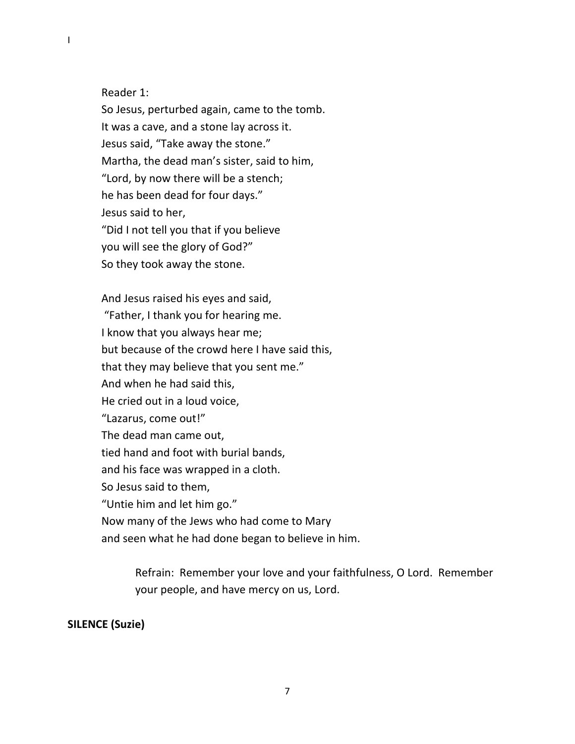Reader 1:

I

So Jesus, perturbed again, came to the tomb. It was a cave, and a stone lay across it. Jesus said, "Take away the stone." Martha, the dead man's sister, said to him, "Lord, by now there will be a stench; he has been dead for four days." Jesus said to her, "Did I not tell you that if you believe you will see the glory of God?" So they took away the stone.

And Jesus raised his eyes and said, "Father, I thank you for hearing me. I know that you always hear me; but because of the crowd here I have said this, that they may believe that you sent me." And when he had said this, He cried out in a loud voice, "Lazarus, come out!" The dead man came out, tied hand and foot with burial bands, and his face was wrapped in a cloth. So Jesus said to them, "Untie him and let him go." Now many of the Jews who had come to Mary and seen what he had done began to believe in him.

> Refrain: Remember your love and your faithfulness, O Lord. Remember your people, and have mercy on us, Lord.

## **SILENCE (Suzie)**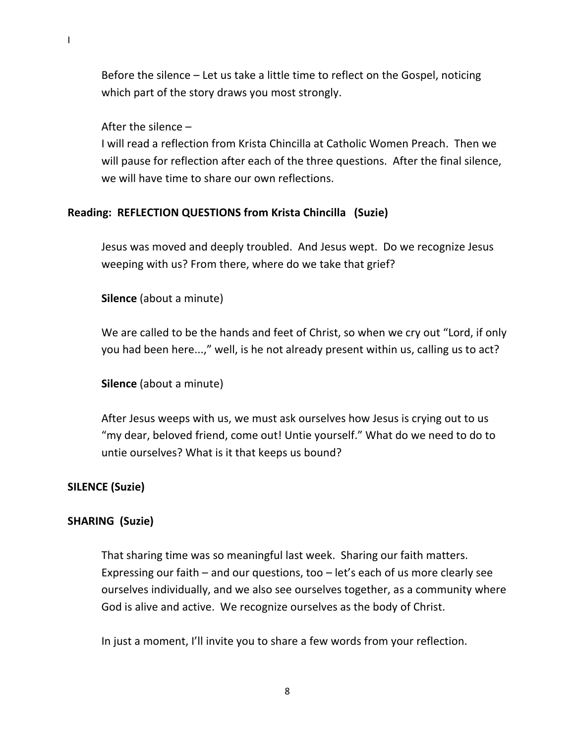Before the silence – Let us take a little time to reflect on the Gospel, noticing which part of the story draws you most strongly.

#### After the silence –

I

I will read a reflection from Krista Chincilla at Catholic Women Preach. Then we will pause for reflection after each of the three questions. After the final silence, we will have time to share our own reflections.

#### **Reading: REFLECTION QUESTIONS from Krista Chincilla (Suzie)**

Jesus was moved and deeply troubled. And Jesus wept. Do we recognize Jesus weeping with us? From there, where do we take that grief?

**Silence** (about a minute)

We are called to be the hands and feet of Christ, so when we cry out "Lord, if only you had been here...," well, is he not already present within us, calling us to act?

**Silence** (about a minute)

After Jesus weeps with us, we must ask ourselves how Jesus is crying out to us "my dear, beloved friend, come out! Untie yourself." What do we need to do to untie ourselves? What is it that keeps us bound?

#### **SILENCE (Suzie)**

#### **SHARING (Suzie)**

That sharing time was so meaningful last week. Sharing our faith matters. Expressing our faith – and our questions, too – let's each of us more clearly see ourselves individually, and we also see ourselves together, as a community where God is alive and active. We recognize ourselves as the body of Christ.

In just a moment, I'll invite you to share a few words from your reflection.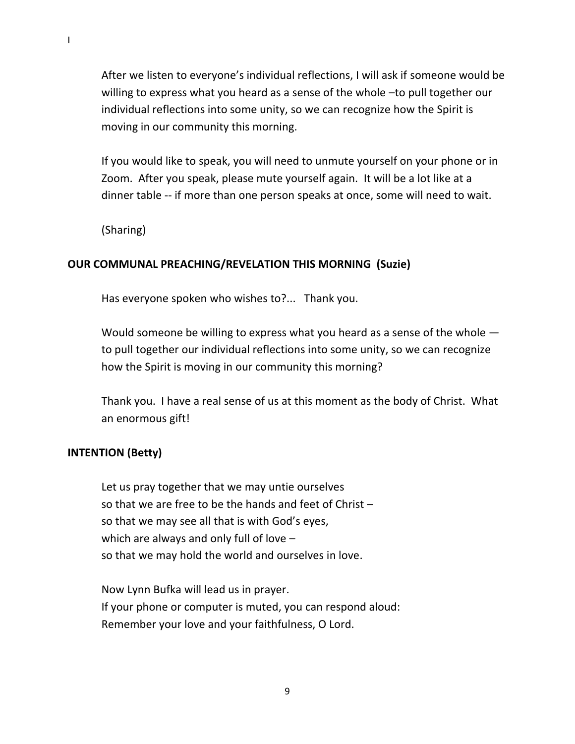After we listen to everyone's individual reflections, I will ask if someone would be willing to express what you heard as a sense of the whole –to pull together our individual reflections into some unity, so we can recognize how the Spirit is moving in our community this morning.

If you would like to speak, you will need to unmute yourself on your phone or in Zoom. After you speak, please mute yourself again. It will be a lot like at a dinner table -- if more than one person speaks at once, some will need to wait.

(Sharing)

#### **OUR COMMUNAL PREACHING/REVELATION THIS MORNING (Suzie)**

Has everyone spoken who wishes to?... Thank you.

Would someone be willing to express what you heard as a sense of the whole to pull together our individual reflections into some unity, so we can recognize how the Spirit is moving in our community this morning?

Thank you. I have a real sense of us at this moment as the body of Christ. What an enormous gift!

#### **INTENTION (Betty)**

Let us pray together that we may untie ourselves so that we are free to be the hands and feet of Christ – so that we may see all that is with God's eyes, which are always and only full of love – so that we may hold the world and ourselves in love.

Now Lynn Bufka will lead us in prayer. If your phone or computer is muted, you can respond aloud: Remember your love and your faithfulness, O Lord.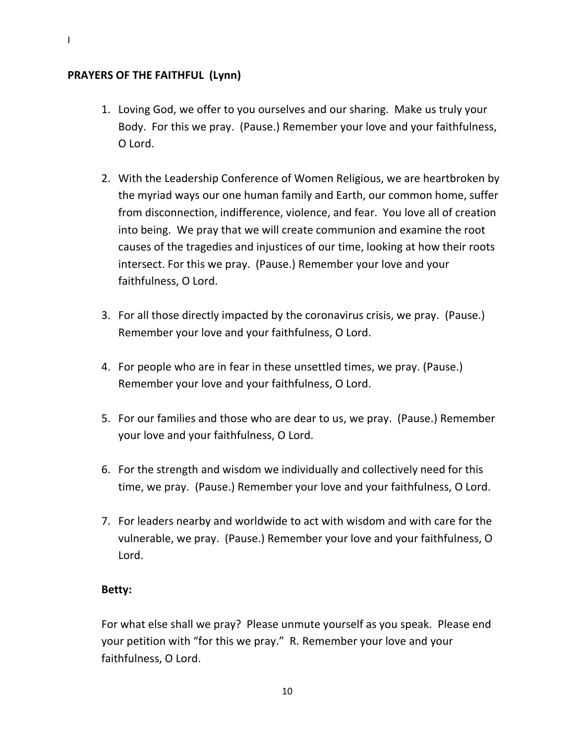## **PRAYERS OF THE FAITHFUL (Lynn)**

- 1. Loving God, we offer to you ourselves and our sharing. Make us truly your Body. For this we pray. (Pause.) Remember your love and your faithfulness, O Lord.
- 2. With the Leadership Conference of Women Religious, we are heartbroken by the myriad ways our one human family and Earth, our common home, suffer from disconnection, indifference, violence, and fear. You love all of creation into being. We pray that we will create communion and examine the root causes of the tragedies and injustices of our time, looking at how their roots intersect. For this we pray. (Pause.) Remember your love and your faithfulness, O Lord.
- 3. For all those directly impacted by the coronavirus crisis, we pray. (Pause.) Remember your love and your faithfulness, O Lord.
- 4. For people who are in fear in these unsettled times, we pray. (Pause.) Remember your love and your faithfulness, O Lord.
- 5. For our families and those who are dear to us, we pray. (Pause.) Remember your love and your faithfulness, O Lord.
- 6. For the strength and wisdom we individually and collectively need for this time, we pray. (Pause.) Remember your love and your faithfulness, O Lord.
- 7. For leaders nearby and worldwide to act with wisdom and with care for the vulnerable, we pray. (Pause.) Remember your love and your faithfulness, O Lord.

#### **Betty:**

For what else shall we pray? Please unmute yourself as you speak. Please end your petition with "for this we pray." R. Remember your love and your faithfulness, O Lord.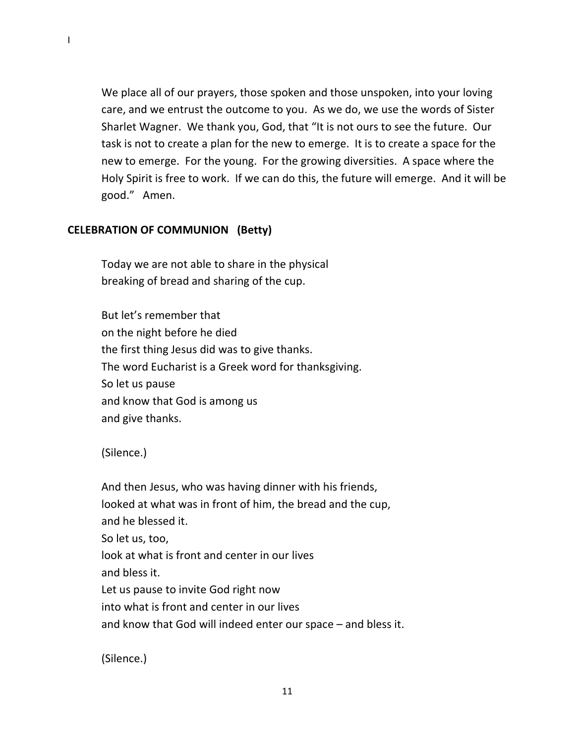We place all of our prayers, those spoken and those unspoken, into your loving care, and we entrust the outcome to you. As we do, we use the words of Sister Sharlet Wagner. We thank you, God, that "It is not ours to see the future. Our task is not to create a plan for the new to emerge. It is to create a space for the new to emerge. For the young. For the growing diversities. A space where the Holy Spirit is free to work. If we can do this, the future will emerge. And it will be good." Amen.

# **CELEBRATION OF COMMUNION (Betty)**

Today we are not able to share in the physical breaking of bread and sharing of the cup.

But let's remember that on the night before he died the first thing Jesus did was to give thanks. The word Eucharist is a Greek word for thanksgiving. So let us pause and know that God is among us and give thanks.

(Silence.)

And then Jesus, who was having dinner with his friends, looked at what was in front of him, the bread and the cup, and he blessed it. So let us, too, look at what is front and center in our lives and bless it. Let us pause to invite God right now into what is front and center in our lives and know that God will indeed enter our space – and bless it.

(Silence.)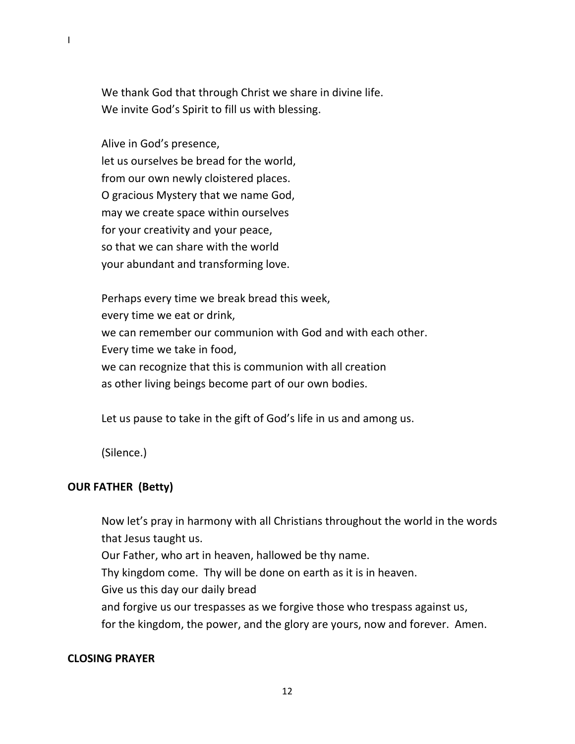We thank God that through Christ we share in divine life. We invite God's Spirit to fill us with blessing.

Alive in God's presence, let us ourselves be bread for the world, from our own newly cloistered places. O gracious Mystery that we name God, may we create space within ourselves for your creativity and your peace, so that we can share with the world your abundant and transforming love.

Perhaps every time we break bread this week, every time we eat or drink, we can remember our communion with God and with each other. Every time we take in food, we can recognize that this is communion with all creation as other living beings become part of our own bodies.

Let us pause to take in the gift of God's life in us and among us.

(Silence.)

# **OUR FATHER (Betty)**

Now let's pray in harmony with all Christians throughout the world in the words that Jesus taught us. Our Father, who art in heaven, hallowed be thy name. Thy kingdom come. Thy will be done on earth as it is in heaven. Give us this day our daily bread and forgive us our trespasses as we forgive those who trespass against us,

for the kingdom, the power, and the glory are yours, now and forever. Amen.

# **CLOSING PRAYER**